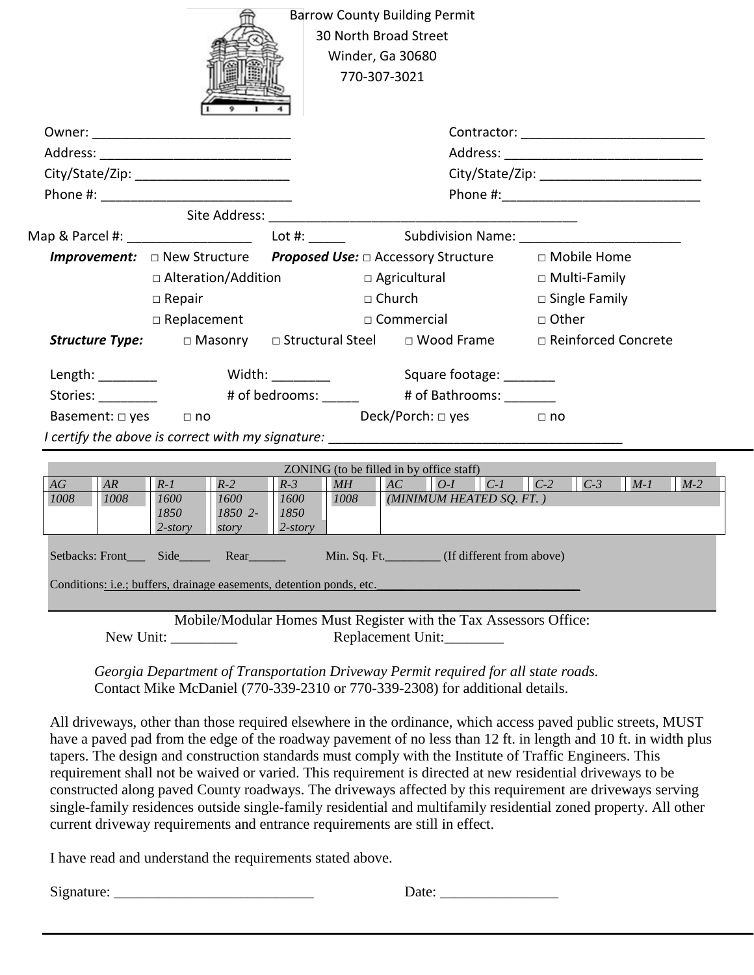| <b>Barrow County Building Permit</b><br>30 North Broad Street<br>Winder, Ga 30680<br>770-307-3021 |                    |                 |                                         |                                                                           |                          |                     |                         |       |       |  |
|---------------------------------------------------------------------------------------------------|--------------------|-----------------|-----------------------------------------|---------------------------------------------------------------------------|--------------------------|---------------------|-------------------------|-------|-------|--|
|                                                                                                   |                    |                 |                                         |                                                                           |                          |                     |                         |       |       |  |
|                                                                                                   |                    |                 |                                         |                                                                           |                          |                     |                         |       |       |  |
|                                                                                                   |                    |                 |                                         |                                                                           |                          |                     |                         |       |       |  |
|                                                                                                   |                    |                 |                                         |                                                                           |                          |                     |                         |       |       |  |
|                                                                                                   |                    |                 |                                         |                                                                           |                          |                     |                         |       |       |  |
|                                                                                                   |                    |                 |                                         |                                                                           |                          |                     |                         |       |       |  |
| <b>Improvement:</b> □ New Structure Proposed Use: □ Accessory Structure □ Mobile Home             |                    |                 |                                         |                                                                           |                          |                     |                         |       |       |  |
|                                                                                                   |                    |                 | □ Agricultural<br>□ Alteration/Addition |                                                                           |                          | $\Box$ Multi-Family |                         |       |       |  |
|                                                                                                   | $\Box$ Repair      |                 |                                         |                                                                           | $\Box$ Church            |                     | $\square$ Single Family |       |       |  |
|                                                                                                   | $\Box$ Replacement |                 |                                         |                                                                           | $\square$ Commercial     |                     | □ Other                 |       |       |  |
| <b>Structure Type:</b> $\Box$ Masonry $\Box$ Structural Steel $\Box$ Wood Frame                   |                    |                 |                                         |                                                                           |                          |                     | □ Reinforced Concrete   |       |       |  |
|                                                                                                   |                    |                 |                                         | Length: Nidth: Width: Square footage: Nighty Model in the Square footage: |                          |                     |                         |       |       |  |
| Stories: _________                                                                                |                    |                 |                                         | # of bedrooms: ______ # of Bathrooms: ______                              |                          |                     |                         |       |       |  |
| Basement: $\Box$ yes $\Box$ no                                                                    |                    |                 |                                         |                                                                           | Deck/Porch: □ yes        | $\Box$ no           |                         |       |       |  |
|                                                                                                   |                    |                 |                                         |                                                                           |                          |                     |                         |       |       |  |
| ZONING (to be filled in by office staff)                                                          |                    |                 |                                         |                                                                           |                          |                     |                         |       |       |  |
| AG<br>AR                                                                                          | $R-I$              | $R-2$           | $R-3$                                   | MH                                                                        | AC<br>$O-I$              |                     | $C-I$ $C-2$ $C-3$       | $M-1$ | $M-2$ |  |
| 1008<br>1008                                                                                      | 1600<br>1850       | 1600<br>1850 2- | 1600<br>1850                            | 1008                                                                      | (MINIMUM HEATED SQ. FT.) |                     |                         |       |       |  |
|                                                                                                   | $2$ -story         | story           | $2$ -story                              |                                                                           |                          |                     |                         |       |       |  |
|                                                                                                   |                    |                 |                                         |                                                                           |                          |                     |                         |       |       |  |
| Conditions: i.e.; buffers, drainage easements, detention ponds, etc.                              |                    |                 |                                         |                                                                           |                          |                     |                         |       |       |  |
| Mobile/Modular Homes Must Register with the Tax Assessors Office:                                 |                    |                 |                                         |                                                                           |                          |                     |                         |       |       |  |

*Georgia Department of Transportation Driveway Permit required for all state roads.* 

New Unit: \_\_\_\_\_\_\_\_\_ Replacement Unit: \_\_\_\_\_\_\_\_

Contact Mike McDaniel (770-339-2310 or 770-339-2308) for additional details.

All driveways, other than those required elsewhere in the ordinance, which access paved public streets, MUST have a paved pad from the edge of the roadway pavement of no less than 12 ft. in length and 10 ft. in width plus tapers. The design and construction standards must comply with the Institute of Traffic Engineers. This requirement shall not be waived or varied. This requirement is directed at new residential driveways to be constructed along paved County roadways. The driveways affected by this requirement are driveways serving single-family residences outside single-family residential and multifamily residential zoned property. All other current driveway requirements and entrance requirements are still in effect.

I have read and understand the requirements stated above.

Signature: \_\_\_\_\_\_\_\_\_\_\_\_\_\_\_\_\_\_\_\_\_\_\_\_\_\_\_ Date: \_\_\_\_\_\_\_\_\_\_\_\_\_\_\_\_